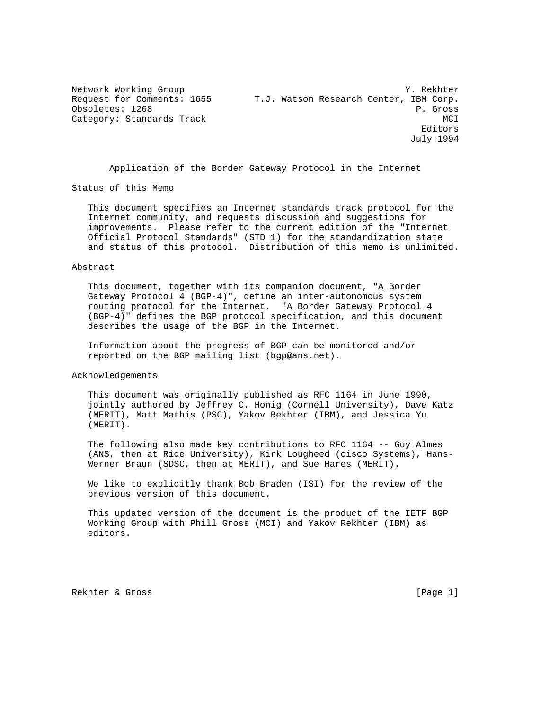Network Working Group Network Working Group Network Working Group Request for Comments: 1655 T.J. Watson Research Center, IBM Corp. Obsoletes: 1268 P. Gross Category: Standards Track MCI Editors July 1994

Application of the Border Gateway Protocol in the Internet

Status of this Memo

 This document specifies an Internet standards track protocol for the Internet community, and requests discussion and suggestions for improvements. Please refer to the current edition of the "Internet Official Protocol Standards" (STD 1) for the standardization state and status of this protocol. Distribution of this memo is unlimited.

#### Abstract

 This document, together with its companion document, "A Border Gateway Protocol 4 (BGP-4)", define an inter-autonomous system routing protocol for the Internet. "A Border Gateway Protocol 4 (BGP-4)" defines the BGP protocol specification, and this document describes the usage of the BGP in the Internet.

 Information about the progress of BGP can be monitored and/or reported on the BGP mailing list (bgp@ans.net).

Acknowledgements

 This document was originally published as RFC 1164 in June 1990, jointly authored by Jeffrey C. Honig (Cornell University), Dave Katz (MERIT), Matt Mathis (PSC), Yakov Rekhter (IBM), and Jessica Yu (MERIT).

 The following also made key contributions to RFC 1164 -- Guy Almes (ANS, then at Rice University), Kirk Lougheed (cisco Systems), Hans- Werner Braun (SDSC, then at MERIT), and Sue Hares (MERIT).

 We like to explicitly thank Bob Braden (ISI) for the review of the previous version of this document.

 This updated version of the document is the product of the IETF BGP Working Group with Phill Gross (MCI) and Yakov Rekhter (IBM) as editors.

Rekhter & Gross [Page 1]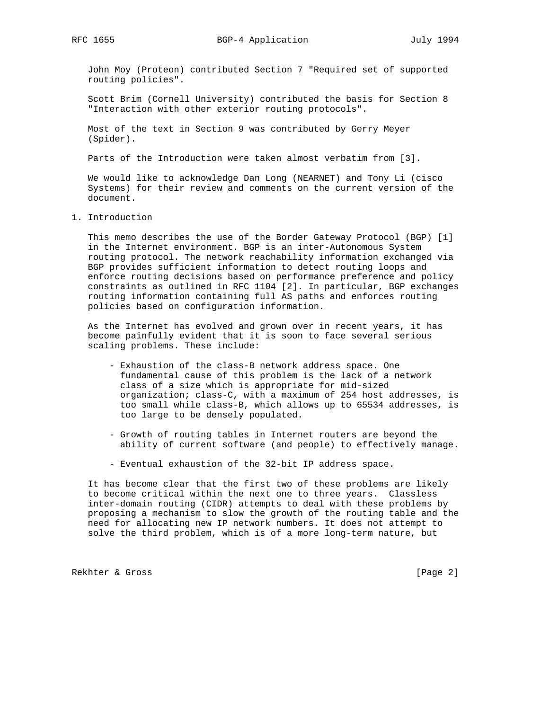John Moy (Proteon) contributed Section 7 "Required set of supported routing policies".

 Scott Brim (Cornell University) contributed the basis for Section 8 "Interaction with other exterior routing protocols".

 Most of the text in Section 9 was contributed by Gerry Meyer (Spider).

Parts of the Introduction were taken almost verbatim from [3].

 We would like to acknowledge Dan Long (NEARNET) and Tony Li (cisco Systems) for their review and comments on the current version of the document.

1. Introduction

 This memo describes the use of the Border Gateway Protocol (BGP) [1] in the Internet environment. BGP is an inter-Autonomous System routing protocol. The network reachability information exchanged via BGP provides sufficient information to detect routing loops and enforce routing decisions based on performance preference and policy constraints as outlined in RFC 1104 [2]. In particular, BGP exchanges routing information containing full AS paths and enforces routing policies based on configuration information.

 As the Internet has evolved and grown over in recent years, it has become painfully evident that it is soon to face several serious scaling problems. These include:

- Exhaustion of the class-B network address space. One fundamental cause of this problem is the lack of a network class of a size which is appropriate for mid-sized organization; class-C, with a maximum of 254 host addresses, is too small while class-B, which allows up to 65534 addresses, is too large to be densely populated.
- Growth of routing tables in Internet routers are beyond the ability of current software (and people) to effectively manage.
- Eventual exhaustion of the 32-bit IP address space.

 It has become clear that the first two of these problems are likely to become critical within the next one to three years. Classless inter-domain routing (CIDR) attempts to deal with these problems by proposing a mechanism to slow the growth of the routing table and the need for allocating new IP network numbers. It does not attempt to solve the third problem, which is of a more long-term nature, but

Rekhter & Gross [Page 2]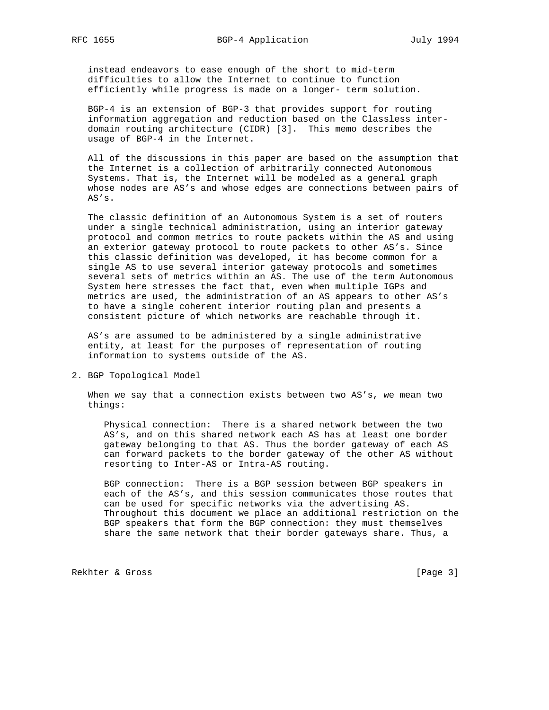instead endeavors to ease enough of the short to mid-term difficulties to allow the Internet to continue to function efficiently while progress is made on a longer- term solution.

 BGP-4 is an extension of BGP-3 that provides support for routing information aggregation and reduction based on the Classless inter domain routing architecture (CIDR) [3]. This memo describes the usage of BGP-4 in the Internet.

 All of the discussions in this paper are based on the assumption that the Internet is a collection of arbitrarily connected Autonomous Systems. That is, the Internet will be modeled as a general graph whose nodes are AS's and whose edges are connections between pairs of AS's.

 The classic definition of an Autonomous System is a set of routers under a single technical administration, using an interior gateway protocol and common metrics to route packets within the AS and using an exterior gateway protocol to route packets to other AS's. Since this classic definition was developed, it has become common for a single AS to use several interior gateway protocols and sometimes several sets of metrics within an AS. The use of the term Autonomous System here stresses the fact that, even when multiple IGPs and metrics are used, the administration of an AS appears to other AS's to have a single coherent interior routing plan and presents a consistent picture of which networks are reachable through it.

 AS's are assumed to be administered by a single administrative entity, at least for the purposes of representation of routing information to systems outside of the AS.

2. BGP Topological Model

 When we say that a connection exists between two AS's, we mean two things:

 Physical connection: There is a shared network between the two AS's, and on this shared network each AS has at least one border gateway belonging to that AS. Thus the border gateway of each AS can forward packets to the border gateway of the other AS without resorting to Inter-AS or Intra-AS routing.

 BGP connection: There is a BGP session between BGP speakers in each of the AS's, and this session communicates those routes that can be used for specific networks via the advertising AS. Throughout this document we place an additional restriction on the BGP speakers that form the BGP connection: they must themselves share the same network that their border gateways share. Thus, a

Rekhter & Gross [Page 3]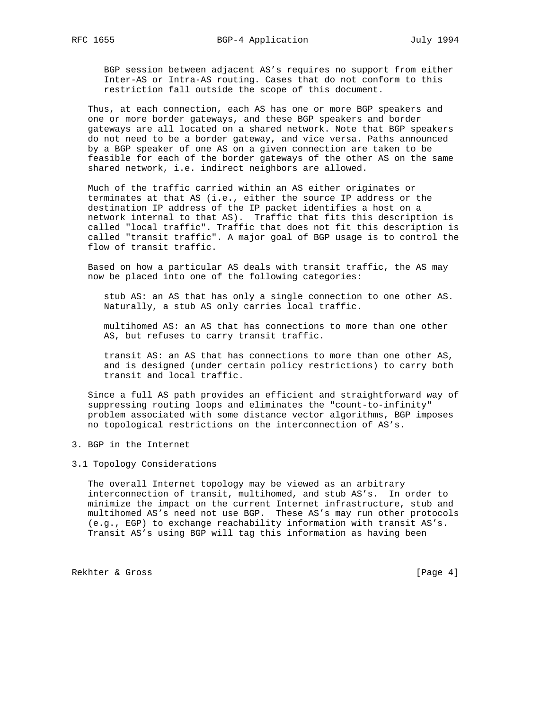BGP session between adjacent AS's requires no support from either Inter-AS or Intra-AS routing. Cases that do not conform to this restriction fall outside the scope of this document.

 Thus, at each connection, each AS has one or more BGP speakers and one or more border gateways, and these BGP speakers and border gateways are all located on a shared network. Note that BGP speakers do not need to be a border gateway, and vice versa. Paths announced by a BGP speaker of one AS on a given connection are taken to be feasible for each of the border gateways of the other AS on the same shared network, i.e. indirect neighbors are allowed.

 Much of the traffic carried within an AS either originates or terminates at that AS (i.e., either the source IP address or the destination IP address of the IP packet identifies a host on a network internal to that AS). Traffic that fits this description is called "local traffic". Traffic that does not fit this description is called "transit traffic". A major goal of BGP usage is to control the flow of transit traffic.

 Based on how a particular AS deals with transit traffic, the AS may now be placed into one of the following categories:

 stub AS: an AS that has only a single connection to one other AS. Naturally, a stub AS only carries local traffic.

 multihomed AS: an AS that has connections to more than one other AS, but refuses to carry transit traffic.

 transit AS: an AS that has connections to more than one other AS, and is designed (under certain policy restrictions) to carry both transit and local traffic.

 Since a full AS path provides an efficient and straightforward way of suppressing routing loops and eliminates the "count-to-infinity" problem associated with some distance vector algorithms, BGP imposes no topological restrictions on the interconnection of AS's.

- 3. BGP in the Internet
- 3.1 Topology Considerations

 The overall Internet topology may be viewed as an arbitrary interconnection of transit, multihomed, and stub AS's. In order to minimize the impact on the current Internet infrastructure, stub and multihomed AS's need not use BGP. These AS's may run other protocols (e.g., EGP) to exchange reachability information with transit AS's. Transit AS's using BGP will tag this information as having been

Rekhter & Gross [Page 4]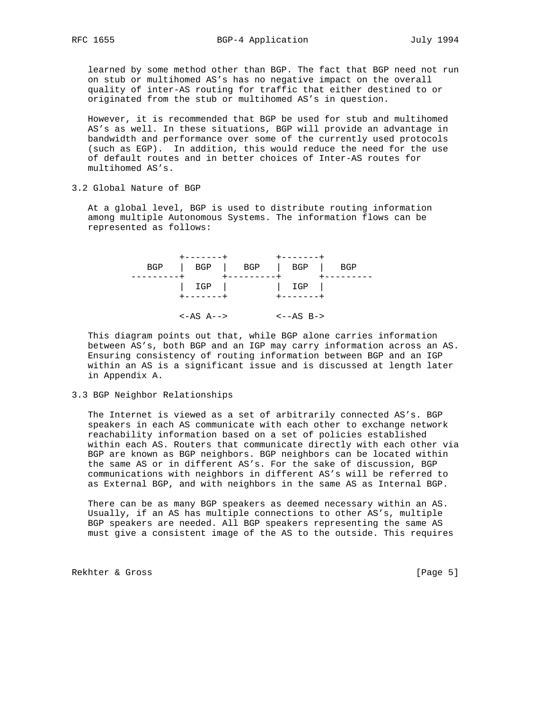learned by some method other than BGP. The fact that BGP need not run on stub or multihomed AS's has no negative impact on the overall quality of inter-AS routing for traffic that either destined to or originated from the stub or multihomed AS's in question.

 However, it is recommended that BGP be used for stub and multihomed AS's as well. In these situations, BGP will provide an advantage in bandwidth and performance over some of the currently used protocols (such as EGP). In addition, this would reduce the need for the use of default routes and in better choices of Inter-AS routes for multihomed AS's.

3.2 Global Nature of BGP

 At a global level, BGP is used to distribute routing information among multiple Autonomous Systems. The information flows can be represented as follows:

| +-------+                   |            | <u> +-------+</u> |  |
|-----------------------------|------------|-------------------|--|
| BGP   BGP   BGP   BGP   BGP | ---------+ |                   |  |
|                             |            |                   |  |
| $+ - - - - - - +$           |            | $+ - - - - - - +$ |  |
| $\langle -AS$ $A---\rangle$ |            | $<--AS$ B->       |  |

 This diagram points out that, while BGP alone carries information between AS's, both BGP and an IGP may carry information across an AS. Ensuring consistency of routing information between BGP and an IGP within an AS is a significant issue and is discussed at length later in Appendix A.

3.3 BGP Neighbor Relationships

 The Internet is viewed as a set of arbitrarily connected AS's. BGP speakers in each AS communicate with each other to exchange network reachability information based on a set of policies established within each AS. Routers that communicate directly with each other via BGP are known as BGP neighbors. BGP neighbors can be located within the same AS or in different AS's. For the sake of discussion, BGP communications with neighbors in different AS's will be referred to as External BGP, and with neighbors in the same AS as Internal BGP.

 There can be as many BGP speakers as deemed necessary within an AS. Usually, if an AS has multiple connections to other AS's, multiple BGP speakers are needed. All BGP speakers representing the same AS must give a consistent image of the AS to the outside. This requires

Rekhter & Gross [Page 5]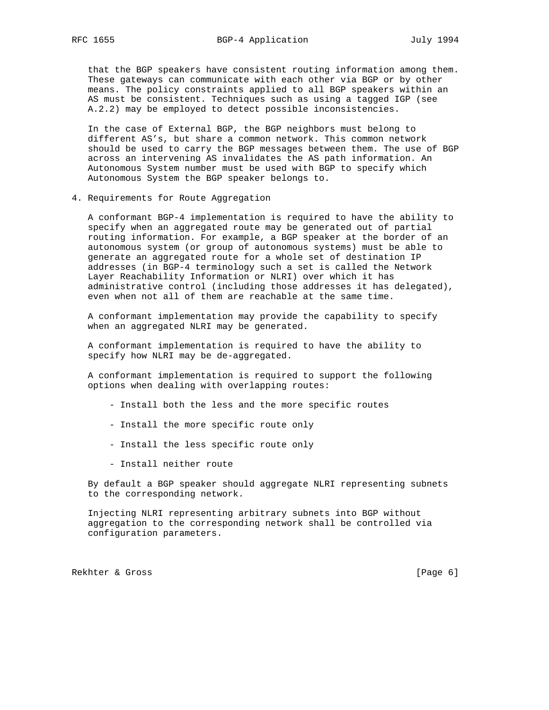that the BGP speakers have consistent routing information among them. These gateways can communicate with each other via BGP or by other means. The policy constraints applied to all BGP speakers within an AS must be consistent. Techniques such as using a tagged IGP (see A.2.2) may be employed to detect possible inconsistencies.

 In the case of External BGP, the BGP neighbors must belong to different AS's, but share a common network. This common network should be used to carry the BGP messages between them. The use of BGP across an intervening AS invalidates the AS path information. An Autonomous System number must be used with BGP to specify which Autonomous System the BGP speaker belongs to.

4. Requirements for Route Aggregation

 A conformant BGP-4 implementation is required to have the ability to specify when an aggregated route may be generated out of partial routing information. For example, a BGP speaker at the border of an autonomous system (or group of autonomous systems) must be able to generate an aggregated route for a whole set of destination IP addresses (in BGP-4 terminology such a set is called the Network Layer Reachability Information or NLRI) over which it has administrative control (including those addresses it has delegated), even when not all of them are reachable at the same time.

 A conformant implementation may provide the capability to specify when an aggregated NLRI may be generated.

 A conformant implementation is required to have the ability to specify how NLRI may be de-aggregated.

 A conformant implementation is required to support the following options when dealing with overlapping routes:

- Install both the less and the more specific routes
- Install the more specific route only
- Install the less specific route only
- Install neither route

 By default a BGP speaker should aggregate NLRI representing subnets to the corresponding network.

 Injecting NLRI representing arbitrary subnets into BGP without aggregation to the corresponding network shall be controlled via configuration parameters.

Rekhter & Gross [Page 6]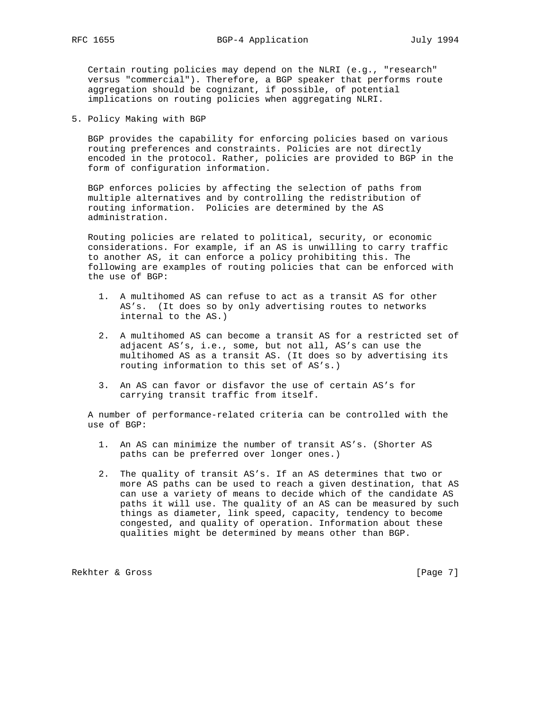Certain routing policies may depend on the NLRI (e.g., "research" versus "commercial"). Therefore, a BGP speaker that performs route aggregation should be cognizant, if possible, of potential implications on routing policies when aggregating NLRI.

5. Policy Making with BGP

 BGP provides the capability for enforcing policies based on various routing preferences and constraints. Policies are not directly encoded in the protocol. Rather, policies are provided to BGP in the form of configuration information.

 BGP enforces policies by affecting the selection of paths from multiple alternatives and by controlling the redistribution of routing information. Policies are determined by the AS administration.

 Routing policies are related to political, security, or economic considerations. For example, if an AS is unwilling to carry traffic to another AS, it can enforce a policy prohibiting this. The following are examples of routing policies that can be enforced with the use of BGP:

- 1. A multihomed AS can refuse to act as a transit AS for other AS's. (It does so by only advertising routes to networks internal to the AS.)
- 2. A multihomed AS can become a transit AS for a restricted set of adjacent AS's, i.e., some, but not all, AS's can use the multihomed AS as a transit AS. (It does so by advertising its routing information to this set of AS's.)
- 3. An AS can favor or disfavor the use of certain AS's for carrying transit traffic from itself.

 A number of performance-related criteria can be controlled with the use of BGP:

- 1. An AS can minimize the number of transit AS's. (Shorter AS paths can be preferred over longer ones.)
- 2. The quality of transit AS's. If an AS determines that two or more AS paths can be used to reach a given destination, that AS can use a variety of means to decide which of the candidate AS paths it will use. The quality of an AS can be measured by such things as diameter, link speed, capacity, tendency to become congested, and quality of operation. Information about these qualities might be determined by means other than BGP.

Rekhter & Gross [Page 7]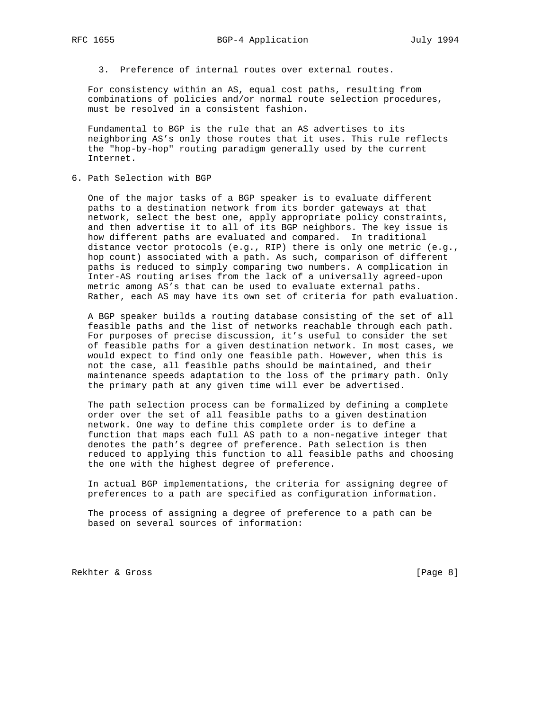3. Preference of internal routes over external routes.

 For consistency within an AS, equal cost paths, resulting from combinations of policies and/or normal route selection procedures, must be resolved in a consistent fashion.

 Fundamental to BGP is the rule that an AS advertises to its neighboring AS's only those routes that it uses. This rule reflects the "hop-by-hop" routing paradigm generally used by the current Internet.

6. Path Selection with BGP

 One of the major tasks of a BGP speaker is to evaluate different paths to a destination network from its border gateways at that network, select the best one, apply appropriate policy constraints, and then advertise it to all of its BGP neighbors. The key issue is how different paths are evaluated and compared. In traditional distance vector protocols (e.g., RIP) there is only one metric (e.g., hop count) associated with a path. As such, comparison of different paths is reduced to simply comparing two numbers. A complication in Inter-AS routing arises from the lack of a universally agreed-upon metric among AS's that can be used to evaluate external paths. Rather, each AS may have its own set of criteria for path evaluation.

 A BGP speaker builds a routing database consisting of the set of all feasible paths and the list of networks reachable through each path. For purposes of precise discussion, it's useful to consider the set of feasible paths for a given destination network. In most cases, we would expect to find only one feasible path. However, when this is not the case, all feasible paths should be maintained, and their maintenance speeds adaptation to the loss of the primary path. Only the primary path at any given time will ever be advertised.

 The path selection process can be formalized by defining a complete order over the set of all feasible paths to a given destination network. One way to define this complete order is to define a function that maps each full AS path to a non-negative integer that denotes the path's degree of preference. Path selection is then reduced to applying this function to all feasible paths and choosing the one with the highest degree of preference.

 In actual BGP implementations, the criteria for assigning degree of preferences to a path are specified as configuration information.

 The process of assigning a degree of preference to a path can be based on several sources of information:

Rekhter & Gross [Page 8]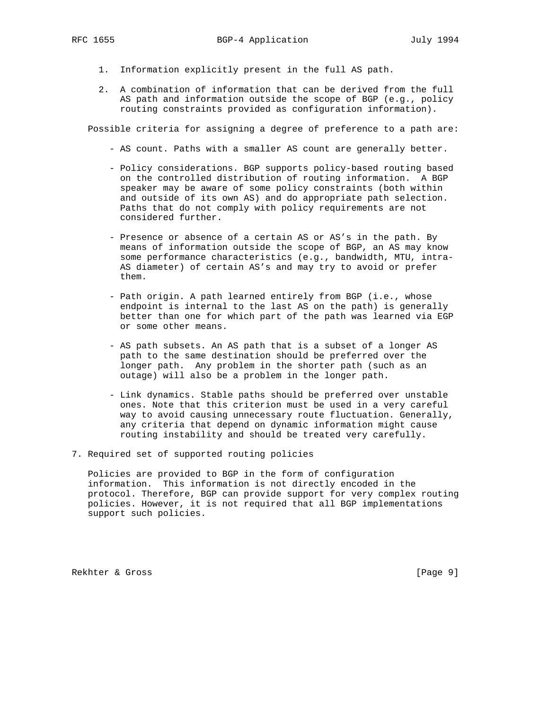- 1. Information explicitly present in the full AS path.
- 2. A combination of information that can be derived from the full AS path and information outside the scope of BGP (e.g., policy routing constraints provided as configuration information).

Possible criteria for assigning a degree of preference to a path are:

- AS count. Paths with a smaller AS count are generally better.
- Policy considerations. BGP supports policy-based routing based on the controlled distribution of routing information. A BGP speaker may be aware of some policy constraints (both within and outside of its own AS) and do appropriate path selection. Paths that do not comply with policy requirements are not considered further.
- Presence or absence of a certain AS or AS's in the path. By means of information outside the scope of BGP, an AS may know some performance characteristics (e.g., bandwidth, MTU, intra- AS diameter) of certain AS's and may try to avoid or prefer them.
- Path origin. A path learned entirely from BGP (i.e., whose endpoint is internal to the last AS on the path) is generally better than one for which part of the path was learned via EGP or some other means.
- AS path subsets. An AS path that is a subset of a longer AS path to the same destination should be preferred over the longer path. Any problem in the shorter path (such as an outage) will also be a problem in the longer path.
- Link dynamics. Stable paths should be preferred over unstable ones. Note that this criterion must be used in a very careful way to avoid causing unnecessary route fluctuation. Generally, any criteria that depend on dynamic information might cause routing instability and should be treated very carefully.
- 7. Required set of supported routing policies

 Policies are provided to BGP in the form of configuration information. This information is not directly encoded in the protocol. Therefore, BGP can provide support for very complex routing policies. However, it is not required that all BGP implementations support such policies.

Rekhter & Gross [Page 9]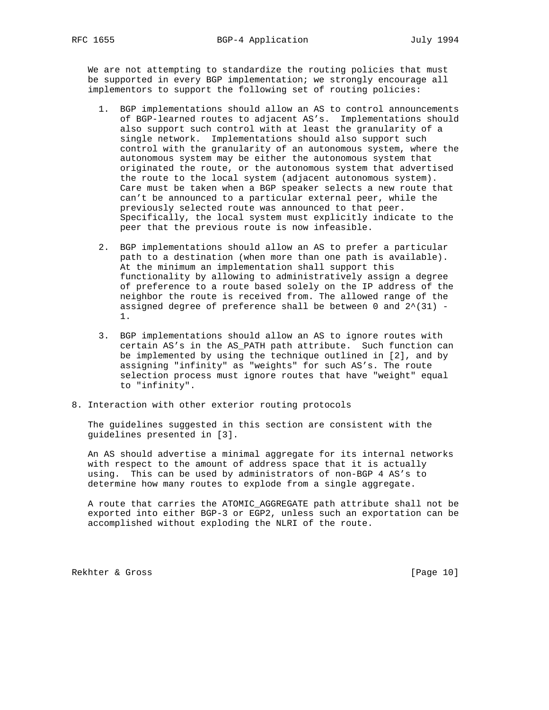We are not attempting to standardize the routing policies that must be supported in every BGP implementation; we strongly encourage all implementors to support the following set of routing policies:

- 1. BGP implementations should allow an AS to control announcements of BGP-learned routes to adjacent AS's. Implementations should also support such control with at least the granularity of a single network. Implementations should also support such control with the granularity of an autonomous system, where the autonomous system may be either the autonomous system that originated the route, or the autonomous system that advertised the route to the local system (adjacent autonomous system). Care must be taken when a BGP speaker selects a new route that can't be announced to a particular external peer, while the previously selected route was announced to that peer. Specifically, the local system must explicitly indicate to the peer that the previous route is now infeasible.
- 2. BGP implementations should allow an AS to prefer a particular path to a destination (when more than one path is available). At the minimum an implementation shall support this functionality by allowing to administratively assign a degree of preference to a route based solely on the IP address of the neighbor the route is received from. The allowed range of the assigned degree of preference shall be between 0 and  $2^*(31)$  -1.
- 3. BGP implementations should allow an AS to ignore routes with certain AS's in the AS\_PATH path attribute. Such function can be implemented by using the technique outlined in [2], and by assigning "infinity" as "weights" for such AS's. The route selection process must ignore routes that have "weight" equal to "infinity".
- 8. Interaction with other exterior routing protocols

 The guidelines suggested in this section are consistent with the guidelines presented in [3].

 An AS should advertise a minimal aggregate for its internal networks with respect to the amount of address space that it is actually using. This can be used by administrators of non-BGP 4 AS's to determine how many routes to explode from a single aggregate.

 A route that carries the ATOMIC\_AGGREGATE path attribute shall not be exported into either BGP-3 or EGP2, unless such an exportation can be accomplished without exploding the NLRI of the route.

Rekhter & Gross [Page 10]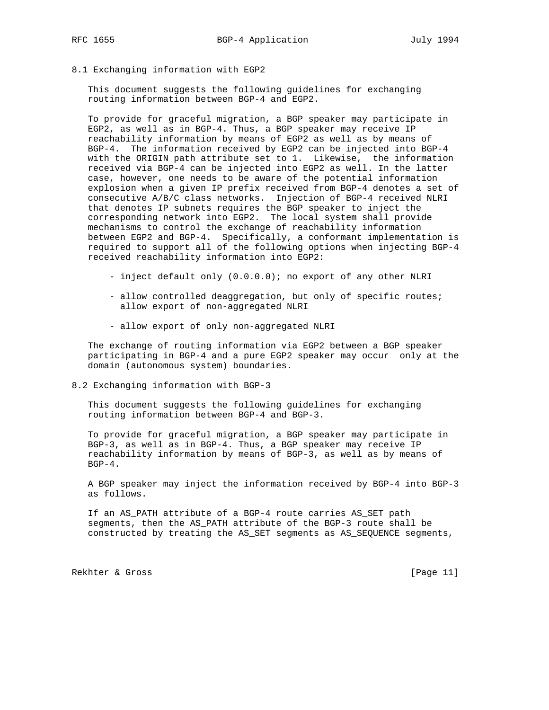This document suggests the following guidelines for exchanging routing information between BGP-4 and EGP2.

 To provide for graceful migration, a BGP speaker may participate in EGP2, as well as in BGP-4. Thus, a BGP speaker may receive IP reachability information by means of EGP2 as well as by means of BGP-4. The information received by EGP2 can be injected into BGP-4 with the ORIGIN path attribute set to 1. Likewise, the information received via BGP-4 can be injected into EGP2 as well. In the latter case, however, one needs to be aware of the potential information explosion when a given IP prefix received from BGP-4 denotes a set of consecutive A/B/C class networks. Injection of BGP-4 received NLRI that denotes IP subnets requires the BGP speaker to inject the corresponding network into EGP2. The local system shall provide mechanisms to control the exchange of reachability information between EGP2 and BGP-4. Specifically, a conformant implementation is required to support all of the following options when injecting BGP-4 received reachability information into EGP2:

- inject default only (0.0.0.0); no export of any other NLRI
- allow controlled deaggregation, but only of specific routes; allow export of non-aggregated NLRI
- allow export of only non-aggregated NLRI

 The exchange of routing information via EGP2 between a BGP speaker participating in BGP-4 and a pure EGP2 speaker may occur only at the domain (autonomous system) boundaries.

8.2 Exchanging information with BGP-3

 This document suggests the following guidelines for exchanging routing information between BGP-4 and BGP-3.

 To provide for graceful migration, a BGP speaker may participate in BGP-3, as well as in BGP-4. Thus, a BGP speaker may receive IP reachability information by means of BGP-3, as well as by means of  $BGP-4$ .

 A BGP speaker may inject the information received by BGP-4 into BGP-3 as follows.

 If an AS\_PATH attribute of a BGP-4 route carries AS\_SET path segments, then the AS\_PATH attribute of the BGP-3 route shall be constructed by treating the AS\_SET segments as AS\_SEQUENCE segments,

Rekhter & Gross [Page 11]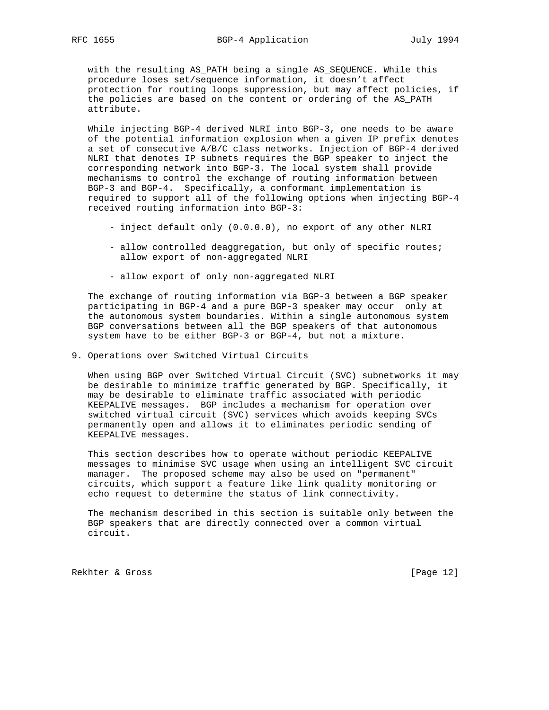with the resulting AS\_PATH being a single AS\_SEQUENCE. While this procedure loses set/sequence information, it doesn't affect protection for routing loops suppression, but may affect policies, if the policies are based on the content or ordering of the AS\_PATH attribute.

 While injecting BGP-4 derived NLRI into BGP-3, one needs to be aware of the potential information explosion when a given IP prefix denotes a set of consecutive A/B/C class networks. Injection of BGP-4 derived NLRI that denotes IP subnets requires the BGP speaker to inject the corresponding network into BGP-3. The local system shall provide mechanisms to control the exchange of routing information between BGP-3 and BGP-4. Specifically, a conformant implementation is required to support all of the following options when injecting BGP-4 received routing information into BGP-3:

- inject default only (0.0.0.0), no export of any other NLRI
- allow controlled deaggregation, but only of specific routes; allow export of non-aggregated NLRI
- allow export of only non-aggregated NLRI

 The exchange of routing information via BGP-3 between a BGP speaker participating in BGP-4 and a pure BGP-3 speaker may occur only at the autonomous system boundaries. Within a single autonomous system BGP conversations between all the BGP speakers of that autonomous system have to be either BGP-3 or BGP-4, but not a mixture.

9. Operations over Switched Virtual Circuits

 When using BGP over Switched Virtual Circuit (SVC) subnetworks it may be desirable to minimize traffic generated by BGP. Specifically, it may be desirable to eliminate traffic associated with periodic KEEPALIVE messages. BGP includes a mechanism for operation over switched virtual circuit (SVC) services which avoids keeping SVCs permanently open and allows it to eliminates periodic sending of KEEPALIVE messages.

 This section describes how to operate without periodic KEEPALIVE messages to minimise SVC usage when using an intelligent SVC circuit manager. The proposed scheme may also be used on "permanent" circuits, which support a feature like link quality monitoring or echo request to determine the status of link connectivity.

 The mechanism described in this section is suitable only between the BGP speakers that are directly connected over a common virtual circuit.

Rekhter & Gross [Page 12]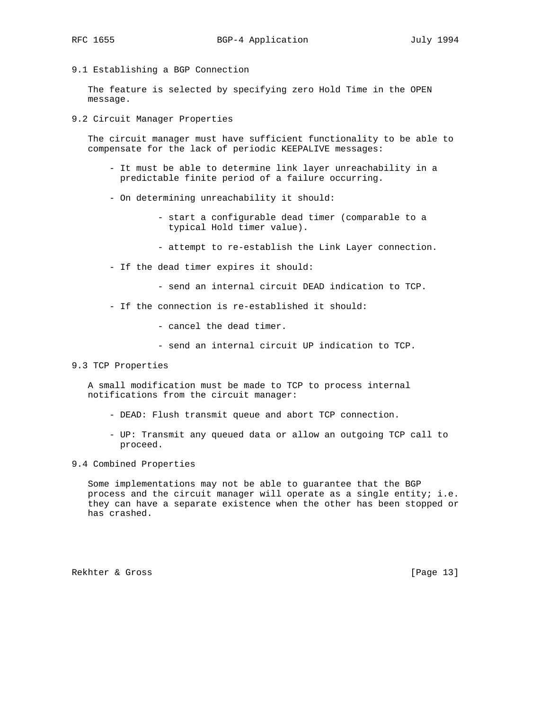9.1 Establishing a BGP Connection

 The feature is selected by specifying zero Hold Time in the OPEN message.

9.2 Circuit Manager Properties

 The circuit manager must have sufficient functionality to be able to compensate for the lack of periodic KEEPALIVE messages:

- It must be able to determine link layer unreachability in a predictable finite period of a failure occurring.
- On determining unreachability it should:
	- start a configurable dead timer (comparable to a typical Hold timer value).
	- attempt to re-establish the Link Layer connection.
- If the dead timer expires it should:
	- send an internal circuit DEAD indication to TCP.
- If the connection is re-established it should:
	- cancel the dead timer.
	- send an internal circuit UP indication to TCP.
- 9.3 TCP Properties

 A small modification must be made to TCP to process internal notifications from the circuit manager:

- DEAD: Flush transmit queue and abort TCP connection.
- UP: Transmit any queued data or allow an outgoing TCP call to proceed.

9.4 Combined Properties

 Some implementations may not be able to guarantee that the BGP process and the circuit manager will operate as a single entity; i.e. they can have a separate existence when the other has been stopped or has crashed.

Rekhter & Gross [Page 13]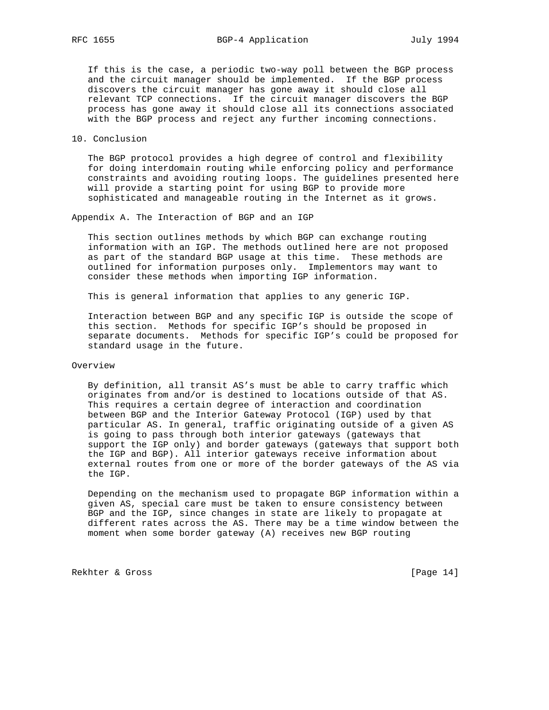If this is the case, a periodic two-way poll between the BGP process and the circuit manager should be implemented. If the BGP process discovers the circuit manager has gone away it should close all relevant TCP connections. If the circuit manager discovers the BGP process has gone away it should close all its connections associated with the BGP process and reject any further incoming connections.

10. Conclusion

 The BGP protocol provides a high degree of control and flexibility for doing interdomain routing while enforcing policy and performance constraints and avoiding routing loops. The guidelines presented here will provide a starting point for using BGP to provide more sophisticated and manageable routing in the Internet as it grows.

Appendix A. The Interaction of BGP and an IGP

 This section outlines methods by which BGP can exchange routing information with an IGP. The methods outlined here are not proposed as part of the standard BGP usage at this time. These methods are outlined for information purposes only. Implementors may want to consider these methods when importing IGP information.

This is general information that applies to any generic IGP.

 Interaction between BGP and any specific IGP is outside the scope of this section. Methods for specific IGP's should be proposed in separate documents. Methods for specific IGP's could be proposed for standard usage in the future.

## Overview

 By definition, all transit AS's must be able to carry traffic which originates from and/or is destined to locations outside of that AS. This requires a certain degree of interaction and coordination between BGP and the Interior Gateway Protocol (IGP) used by that particular AS. In general, traffic originating outside of a given AS is going to pass through both interior gateways (gateways that support the IGP only) and border gateways (gateways that support both the IGP and BGP). All interior gateways receive information about external routes from one or more of the border gateways of the AS via the IGP.

 Depending on the mechanism used to propagate BGP information within a given AS, special care must be taken to ensure consistency between BGP and the IGP, since changes in state are likely to propagate at different rates across the AS. There may be a time window between the moment when some border gateway (A) receives new BGP routing

Rekhter & Gross [Page 14]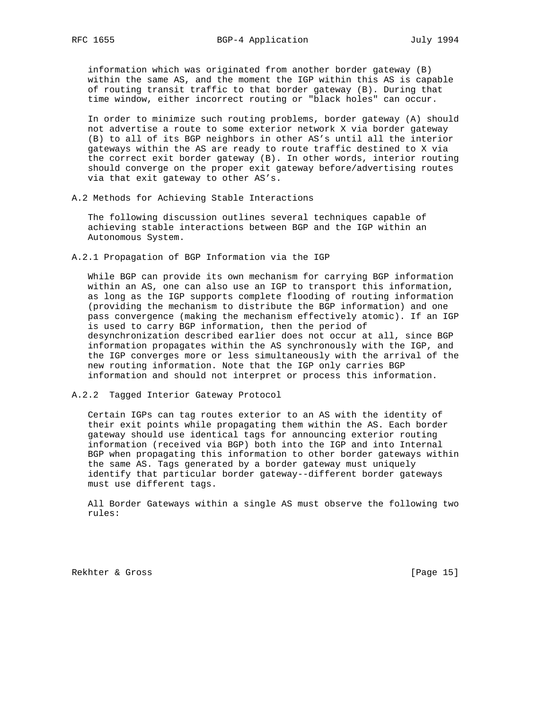information which was originated from another border gateway (B) within the same AS, and the moment the IGP within this AS is capable of routing transit traffic to that border gateway (B). During that time window, either incorrect routing or "black holes" can occur.

 In order to minimize such routing problems, border gateway (A) should not advertise a route to some exterior network X via border gateway (B) to all of its BGP neighbors in other AS's until all the interior gateways within the AS are ready to route traffic destined to X via the correct exit border gateway (B). In other words, interior routing should converge on the proper exit gateway before/advertising routes via that exit gateway to other AS's.

A.2 Methods for Achieving Stable Interactions

 The following discussion outlines several techniques capable of achieving stable interactions between BGP and the IGP within an Autonomous System.

A.2.1 Propagation of BGP Information via the IGP

 While BGP can provide its own mechanism for carrying BGP information within an AS, one can also use an IGP to transport this information, as long as the IGP supports complete flooding of routing information (providing the mechanism to distribute the BGP information) and one pass convergence (making the mechanism effectively atomic). If an IGP is used to carry BGP information, then the period of desynchronization described earlier does not occur at all, since BGP information propagates within the AS synchronously with the IGP, and the IGP converges more or less simultaneously with the arrival of the new routing information. Note that the IGP only carries BGP information and should not interpret or process this information.

A.2.2 Tagged Interior Gateway Protocol

 Certain IGPs can tag routes exterior to an AS with the identity of their exit points while propagating them within the AS. Each border gateway should use identical tags for announcing exterior routing information (received via BGP) both into the IGP and into Internal BGP when propagating this information to other border gateways within the same AS. Tags generated by a border gateway must uniquely identify that particular border gateway--different border gateways must use different tags.

 All Border Gateways within a single AS must observe the following two rules:

Rekhter & Gross [Page 15]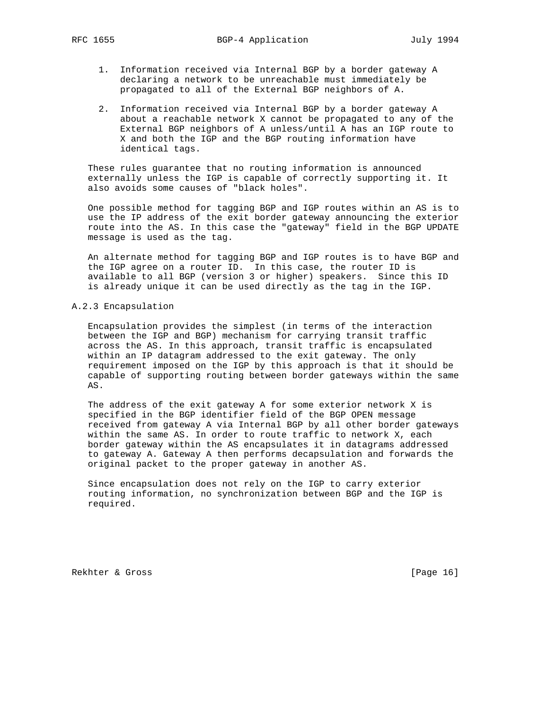- 1. Information received via Internal BGP by a border gateway A declaring a network to be unreachable must immediately be propagated to all of the External BGP neighbors of A.
- 2. Information received via Internal BGP by a border gateway A about a reachable network X cannot be propagated to any of the External BGP neighbors of A unless/until A has an IGP route to X and both the IGP and the BGP routing information have identical tags.

 These rules guarantee that no routing information is announced externally unless the IGP is capable of correctly supporting it. It also avoids some causes of "black holes".

 One possible method for tagging BGP and IGP routes within an AS is to use the IP address of the exit border gateway announcing the exterior route into the AS. In this case the "gateway" field in the BGP UPDATE message is used as the tag.

 An alternate method for tagging BGP and IGP routes is to have BGP and the IGP agree on a router ID. In this case, the router ID is available to all BGP (version 3 or higher) speakers. Since this ID is already unique it can be used directly as the tag in the IGP.

### A.2.3 Encapsulation

 Encapsulation provides the simplest (in terms of the interaction between the IGP and BGP) mechanism for carrying transit traffic across the AS. In this approach, transit traffic is encapsulated within an IP datagram addressed to the exit gateway. The only requirement imposed on the IGP by this approach is that it should be capable of supporting routing between border gateways within the same AS.

 The address of the exit gateway A for some exterior network X is specified in the BGP identifier field of the BGP OPEN message received from gateway A via Internal BGP by all other border gateways within the same AS. In order to route traffic to network X, each border gateway within the AS encapsulates it in datagrams addressed to gateway A. Gateway A then performs decapsulation and forwards the original packet to the proper gateway in another AS.

 Since encapsulation does not rely on the IGP to carry exterior routing information, no synchronization between BGP and the IGP is required.

Rekhter & Gross [Page 16]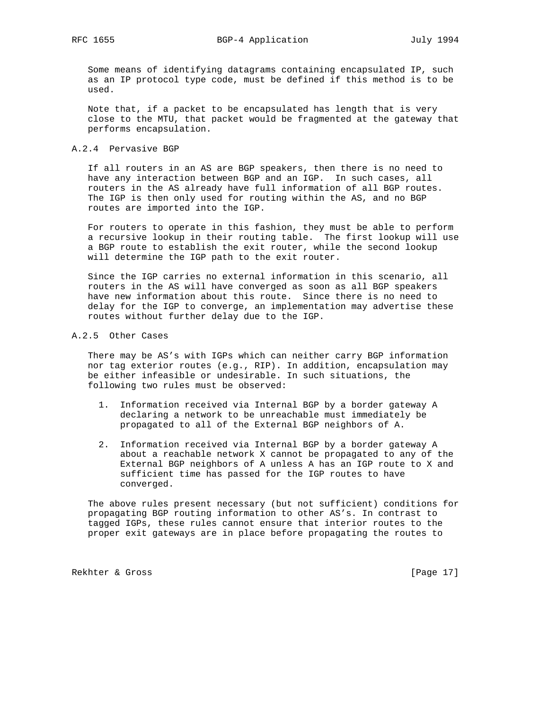Some means of identifying datagrams containing encapsulated IP, such as an IP protocol type code, must be defined if this method is to be used.

 Note that, if a packet to be encapsulated has length that is very close to the MTU, that packet would be fragmented at the gateway that performs encapsulation.

# A.2.4 Pervasive BGP

 If all routers in an AS are BGP speakers, then there is no need to have any interaction between BGP and an IGP. In such cases, all routers in the AS already have full information of all BGP routes. The IGP is then only used for routing within the AS, and no BGP routes are imported into the IGP.

 For routers to operate in this fashion, they must be able to perform a recursive lookup in their routing table. The first lookup will use a BGP route to establish the exit router, while the second lookup will determine the IGP path to the exit router.

 Since the IGP carries no external information in this scenario, all routers in the AS will have converged as soon as all BGP speakers have new information about this route. Since there is no need to delay for the IGP to converge, an implementation may advertise these routes without further delay due to the IGP.

# A.2.5 Other Cases

 There may be AS's with IGPs which can neither carry BGP information nor tag exterior routes (e.g., RIP). In addition, encapsulation may be either infeasible or undesirable. In such situations, the following two rules must be observed:

- 1. Information received via Internal BGP by a border gateway A declaring a network to be unreachable must immediately be propagated to all of the External BGP neighbors of A.
- 2. Information received via Internal BGP by a border gateway A about a reachable network X cannot be propagated to any of the External BGP neighbors of A unless A has an IGP route to X and sufficient time has passed for the IGP routes to have converged.

 The above rules present necessary (but not sufficient) conditions for propagating BGP routing information to other AS's. In contrast to tagged IGPs, these rules cannot ensure that interior routes to the proper exit gateways are in place before propagating the routes to

Rekhter & Gross [Page 17]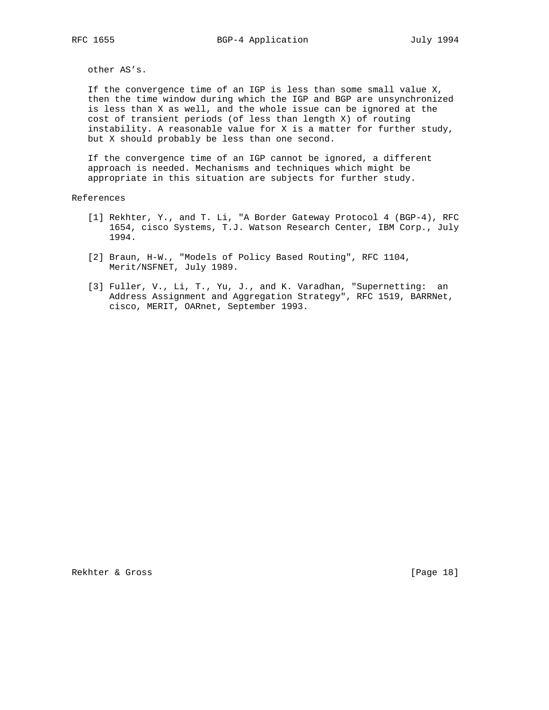other AS's.

 If the convergence time of an IGP is less than some small value X, then the time window during which the IGP and BGP are unsynchronized is less than X as well, and the whole issue can be ignored at the cost of transient periods (of less than length X) of routing instability. A reasonable value for X is a matter for further study, but X should probably be less than one second.

 If the convergence time of an IGP cannot be ignored, a different approach is needed. Mechanisms and techniques which might be appropriate in this situation are subjects for further study.

References

- [1] Rekhter, Y., and T. Li, "A Border Gateway Protocol 4 (BGP-4), RFC 1654, cisco Systems, T.J. Watson Research Center, IBM Corp., July 1994.
- [2] Braun, H-W., "Models of Policy Based Routing", RFC 1104, Merit/NSFNET, July 1989.
- [3] Fuller, V., Li, T., Yu, J., and K. Varadhan, "Supernetting: an Address Assignment and Aggregation Strategy", RFC 1519, BARRNet, cisco, MERIT, OARnet, September 1993.